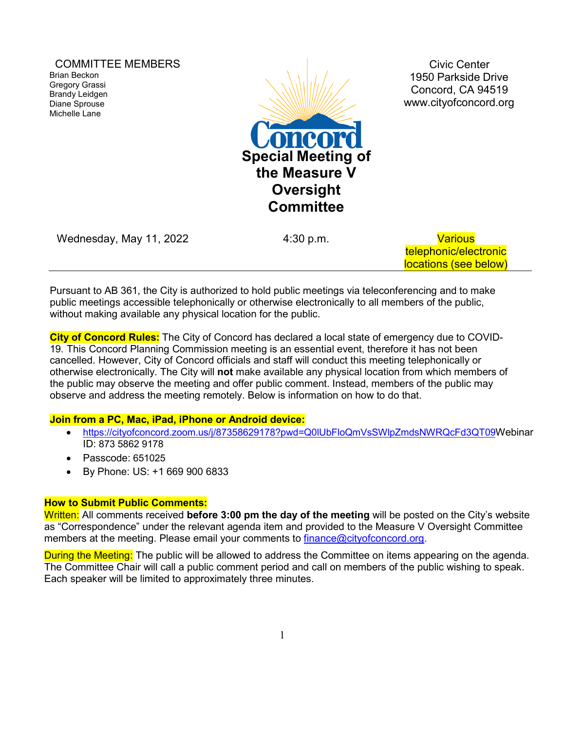COMMITTEE MEMBERS Brian Beckon Gregory Grassi Brandy Leidgen Diane Sprouse Michelle Lane



Civic Center 1950 Parkside Drive Concord, CA 94519 [www.cityofconcord.org](http://www.cityofconcord.org/)

| Wednesday, May 11, 2022 | 4:30 p.m. | <b>Various</b>        |
|-------------------------|-----------|-----------------------|
|                         |           | telephonic/electronic |
|                         |           | locations (see below) |

Pursuant to AB 361, the City is authorized to hold public meetings via teleconferencing and to make public meetings accessible telephonically or otherwise electronically to all members of the public, without making available any physical location for the public.

**City of Concord Rules:** The City of Concord has declared a local state of emergency due to COVID-19. This Concord Planning Commission meeting is an essential event, therefore it has not been cancelled. However, City of Concord officials and staff will conduct this meeting telephonically or otherwise electronically. The City will **not** make available any physical location from which members of the public may observe the meeting and offer public comment. Instead, members of the public may observe and address the meeting remotely. Below is information on how to do that.

#### **Join from a PC, Mac, iPad, iPhone or Android device:**

- [https://cityofconcord.zoom.us/j/87358629178?pwd=Q0lUbFloQmVsSWlpZmdsNWRQcFd3QT09W](https://cityofconcord.zoom.us/j/87358629178?pwd=Q0lUbFloQmVsSWlpZmdsNWRQcFd3QT09)ebinar ID: 873 5862 9178
- Passcode: 651025
- By Phone: US: +1 669 900 6833

#### **How to Submit Public Comments:**

Written: All comments received **before 3:00 pm the day of the meeting** will be posted on the City's website as "Correspondence" under the relevant agenda item and provided to the Measure V Oversight Committee members at the meeting. Please email your comments to [finance@cityofconcord.org.](mailto:finance@cityofconcord.org)

During the Meeting: The public will be allowed to address the Committee on items appearing on the agenda. The Committee Chair will call a public comment period and call on members of the public wishing to speak. Each speaker will be limited to approximately three minutes.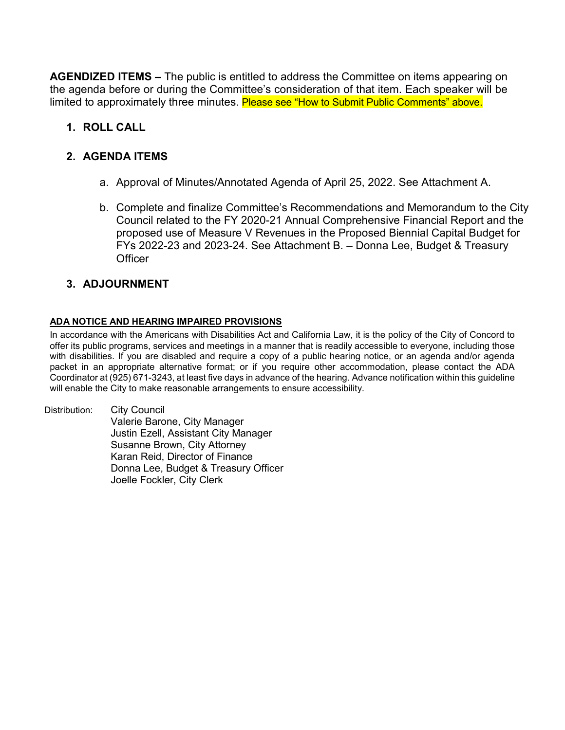**AGENDIZED ITEMS –** The public is entitled to address the Committee on items appearing on the agenda before or during the Committee's consideration of that item. Each speaker will be limited to approximately three minutes. Please see "How to Submit Public Comments" above.

# **1. ROLL CALL**

# **2. AGENDA ITEMS**

- a. Approval of Minutes/Annotated Agenda of April 25, 2022. See Attachment A.
- b. Complete and finalize Committee's Recommendations and Memorandum to the City Council related to the FY 2020-21 Annual Comprehensive Financial Report and the proposed use of Measure V Revenues in the Proposed Biennial Capital Budget for FYs 2022-23 and 2023-24. See Attachment B. – Donna Lee, Budget & Treasury **Officer**

## **3. ADJOURNMENT**

#### **ADA NOTICE AND HEARING IMPAIRED PROVISIONS**

In accordance with the Americans with Disabilities Act and California Law, it is the policy of the City of Concord to offer its public programs, services and meetings in a manner that is readily accessible to everyone, including those with disabilities. If you are disabled and require a copy of a public hearing notice, or an agenda and/or agenda packet in an appropriate alternative format; or if you require other accommodation, please contact the ADA Coordinator at (925) 671-3243, at least five days in advance of the hearing. Advance notification within this guideline will enable the City to make reasonable arrangements to ensure accessibility.

Distribution: City Council Valerie Barone, City Manager Justin Ezell, Assistant City Manager Susanne Brown, City Attorney Karan Reid, Director of Finance Donna Lee, Budget & Treasury Officer Joelle Fockler, City Clerk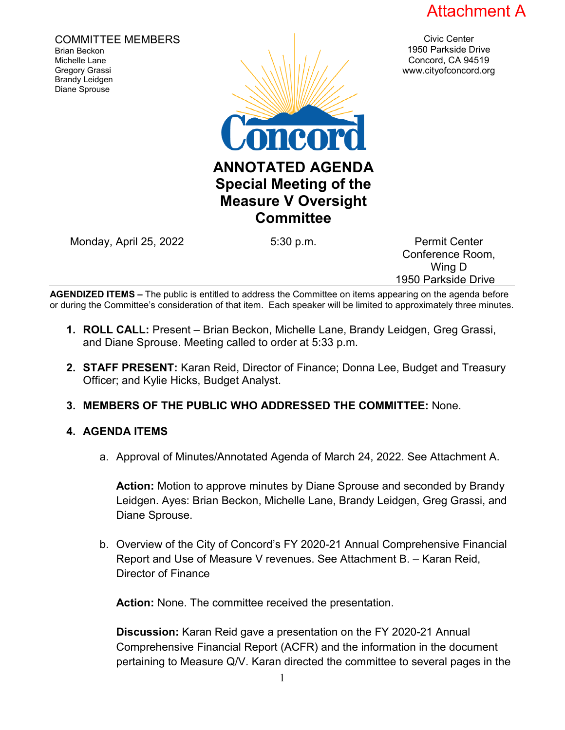

Civic Center 1950 Parkside Drive Concord, CA 94519 www.cityofconcord.org

COMMITTEE MEMBERS Brian Beckon Michelle Lane Gregory Grassi Brandy Leidgen Diane Sprouse



Monday, April 25, 2022 **5:30 p.m.** Permit Center

Conference Room, Wing D 1950 Parkside Drive

**AGENDIZED ITEMS –** The public is entitled to address the Committee on items appearing on the agenda before or during the Committee's consideration of that item. Each speaker will be limited to approximately three minutes.

- **1. ROLL CALL:** Present Brian Beckon, Michelle Lane, Brandy Leidgen, Greg Grassi, and Diane Sprouse. Meeting called to order at 5:33 p.m.
- **2. STAFF PRESENT:** Karan Reid, Director of Finance; Donna Lee, Budget and Treasury Officer; and Kylie Hicks, Budget Analyst.
- **3. MEMBERS OF THE PUBLIC WHO ADDRESSED THE COMMITTEE:** None.

## **4. AGENDA ITEMS**

a. Approval of Minutes/Annotated Agenda of March 24, 2022. See Attachment A.

**Action:** Motion to approve minutes by Diane Sprouse and seconded by Brandy Leidgen. Ayes: Brian Beckon, Michelle Lane, Brandy Leidgen, Greg Grassi, and Diane Sprouse.

b. Overview of the City of Concord's FY 2020-21 Annual Comprehensive Financial Report and Use of Measure V revenues. See Attachment B. – Karan Reid, Director of Finance

**Action:** None. The committee received the presentation.

**Discussion:** Karan Reid gave a presentation on the FY 2020-21 Annual Comprehensive Financial Report (ACFR) and the information in the document pertaining to Measure Q/V. Karan directed the committee to several pages in the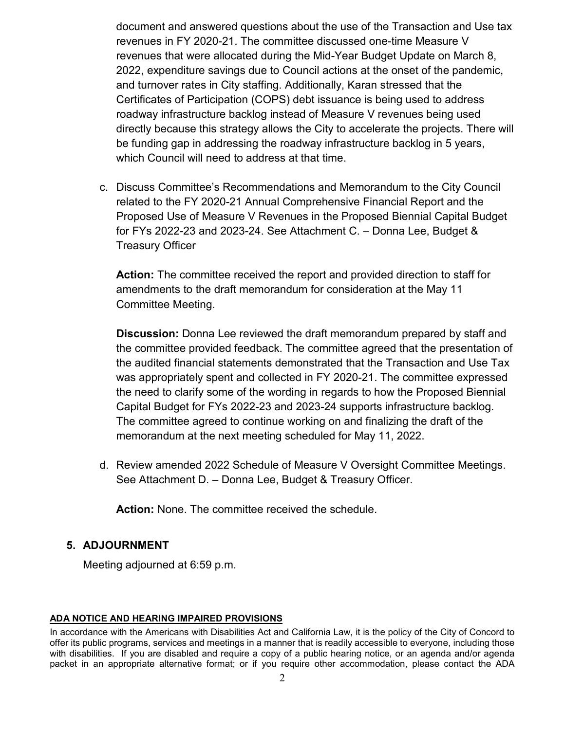document and answered questions about the use of the Transaction and Use tax revenues in FY 2020-21. The committee discussed one-time Measure V revenues that were allocated during the Mid-Year Budget Update on March 8, 2022, expenditure savings due to Council actions at the onset of the pandemic, and turnover rates in City staffing. Additionally, Karan stressed that the Certificates of Participation (COPS) debt issuance is being used to address roadway infrastructure backlog instead of Measure V revenues being used directly because this strategy allows the City to accelerate the projects. There will be funding gap in addressing the roadway infrastructure backlog in 5 years, which Council will need to address at that time.

c. Discuss Committee's Recommendations and Memorandum to the City Council related to the FY 2020-21 Annual Comprehensive Financial Report and the Proposed Use of Measure V Revenues in the Proposed Biennial Capital Budget for FYs 2022-23 and 2023-24. See Attachment C. – Donna Lee, Budget & Treasury Officer

**Action:** The committee received the report and provided direction to staff for amendments to the draft memorandum for consideration at the May 11 Committee Meeting.

**Discussion:** Donna Lee reviewed the draft memorandum prepared by staff and the committee provided feedback. The committee agreed that the presentation of the audited financial statements demonstrated that the Transaction and Use Tax was appropriately spent and collected in FY 2020-21. The committee expressed the need to clarify some of the wording in regards to how the Proposed Biennial Capital Budget for FYs 2022-23 and 2023-24 supports infrastructure backlog. The committee agreed to continue working on and finalizing the draft of the memorandum at the next meeting scheduled for May 11, 2022.

d. Review amended 2022 Schedule of Measure V Oversight Committee Meetings. See Attachment D. – Donna Lee, Budget & Treasury Officer.

**Action:** None. The committee received the schedule.

## **5. ADJOURNMENT**

Meeting adjourned at 6:59 p.m.

#### **ADA NOTICE AND HEARING IMPAIRED PROVISIONS**

In accordance with the Americans with Disabilities Act and California Law, it is the policy of the City of Concord to offer its public programs, services and meetings in a manner that is readily accessible to everyone, including those with disabilities. If you are disabled and require a copy of a public hearing notice, or an agenda and/or agenda packet in an appropriate alternative format; or if you require other accommodation, please contact the ADA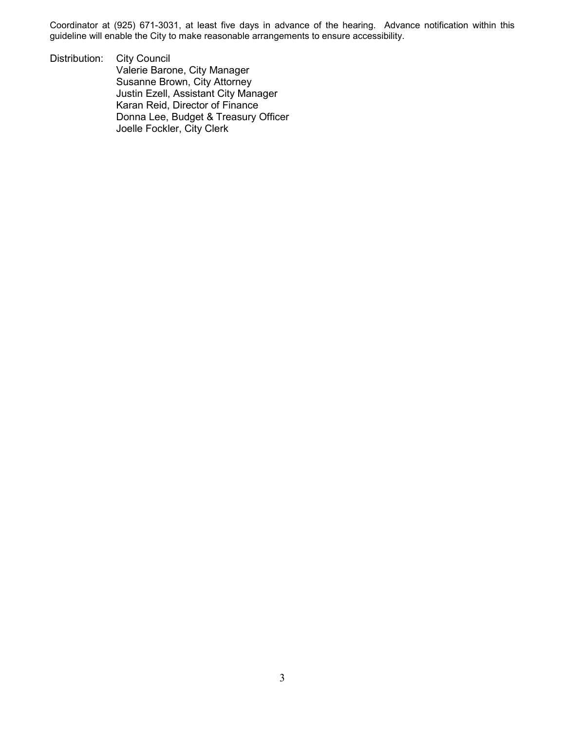Coordinator at (925) 671-3031, at least five days in advance of the hearing. Advance notification within this guideline will enable the City to make reasonable arrangements to ensure accessibility.

Distribution: City Council Valerie Barone, City Manager Susanne Brown, City Attorney Justin Ezell, Assistant City Manager Karan Reid, Director of Finance Donna Lee, Budget & Treasury Officer Joelle Fockler, City Clerk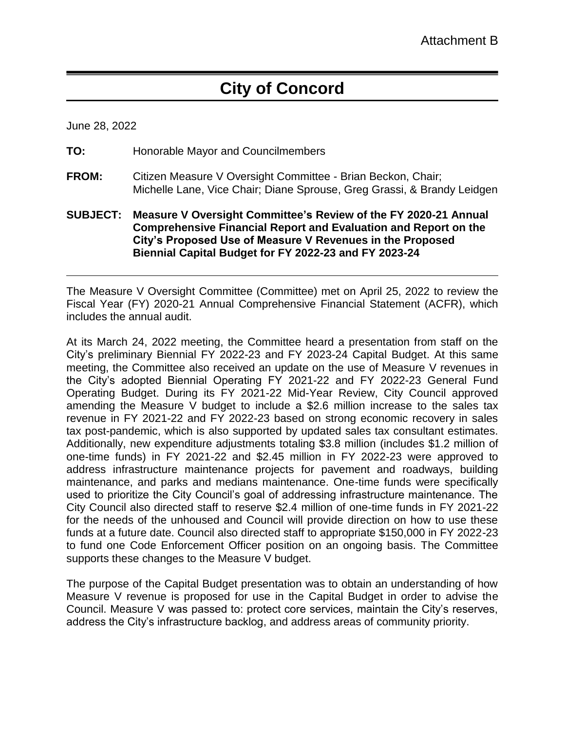# **City of Concord**

June 28, 2022

- **TO:** Honorable Mayor and Councilmembers
- **FROM:** Citizen Measure V Oversight Committee Brian Beckon, Chair; Michelle Lane, Vice Chair; Diane Sprouse, Greg Grassi, & Brandy Leidgen
- **SUBJECT: Measure V Oversight Committee's Review of the FY 2020-21 Annual Comprehensive Financial Report and Evaluation and Report on the City's Proposed Use of Measure V Revenues in the Proposed Biennial Capital Budget for FY 2022-23 and FY 2023-24**

The Measure V Oversight Committee (Committee) met on April 25, 2022 to review the Fiscal Year (FY) 2020-21 Annual Comprehensive Financial Statement (ACFR), which includes the annual audit.

At its March 24, 2022 meeting, the Committee heard a presentation from staff on the City's preliminary Biennial FY 2022-23 and FY 2023-24 Capital Budget. At this same meeting, the Committee also received an update on the use of Measure V revenues in the City's adopted Biennial Operating FY 2021-22 and FY 2022-23 General Fund Operating Budget. During its FY 2021-22 Mid-Year Review, City Council approved amending the Measure V budget to include a \$2.6 million increase to the sales tax revenue in FY 2021-22 and FY 2022-23 based on strong economic recovery in sales tax post-pandemic, which is also supported by updated sales tax consultant estimates. Additionally, new expenditure adjustments totaling \$3.8 million (includes \$1.2 million of one-time funds) in FY 2021-22 and \$2.45 million in FY 2022-23 were approved to address infrastructure maintenance projects for pavement and roadways, building maintenance, and parks and medians maintenance. One-time funds were specifically used to prioritize the City Council's goal of addressing infrastructure maintenance. The City Council also directed staff to reserve \$2.4 million of one-time funds in FY 2021-22 for the needs of the unhoused and Council will provide direction on how to use these funds at a future date. Council also directed staff to appropriate \$150,000 in FY 2022-23 to fund one Code Enforcement Officer position on an ongoing basis. The Committee supports these changes to the Measure V budget.

The purpose of the Capital Budget presentation was to obtain an understanding of how Measure V revenue is proposed for use in the Capital Budget in order to advise the Council. Measure V was passed to: protect core services, maintain the City's reserves, address the City's infrastructure backlog, and address areas of community priority.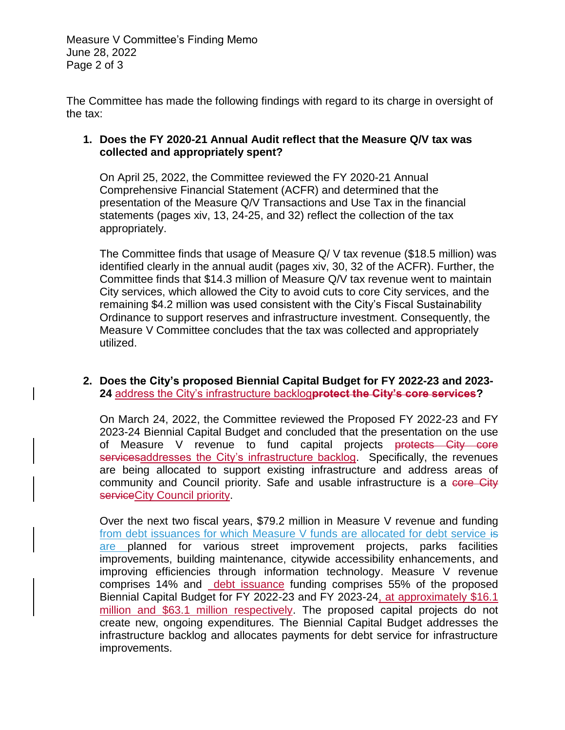Measure V Committee's Finding Memo June 28, 2022 Page 2 of 3

The Committee has made the following findings with regard to its charge in oversight of the tax:

# **1. Does the FY 2020-21 Annual Audit reflect that the Measure Q/V tax was collected and appropriately spent?**

On April 25, 2022, the Committee reviewed the FY 2020-21 Annual Comprehensive Financial Statement (ACFR) and determined that the presentation of the Measure Q/V Transactions and Use Tax in the financial statements (pages xiv, 13, 24-25, and 32) reflect the collection of the tax appropriately.

The Committee finds that usage of Measure Q/ V tax revenue (\$18.5 million) was identified clearly in the annual audit (pages xiv, 30, 32 of the ACFR). Further, the Committee finds that \$14.3 million of Measure Q/V tax revenue went to maintain City services, which allowed the City to avoid cuts to core City services, and the remaining \$4.2 million was used consistent with the City's Fiscal Sustainability Ordinance to support reserves and infrastructure investment. Consequently, the Measure V Committee concludes that the tax was collected and appropriately utilized.

#### **2. Does the City's proposed Biennial Capital Budget for FY 2022-23 and 2023- 24** address the City's infrastructure backlog**protect the City's core services?**

On March 24, 2022, the Committee reviewed the Proposed FY 2022-23 and FY 2023-24 Biennial Capital Budget and concluded that the presentation on the use of Measure V revenue to fund capital projects protects City core servicesaddresses the City's infrastructure backlog. Specifically, the revenues are being allocated to support existing infrastructure and address areas of community and Council priority. Safe and usable infrastructure is a core City serviceCity Council priority.

Over the next two fiscal years, \$79.2 million in Measure V revenue and funding from debt issuances for which Measure V funds are allocated for debt service is are planned for various street improvement projects, parks facilities improvements, building maintenance, citywide accessibility enhancements, and improving efficiencies through information technology. Measure V revenue comprises 14% and debt issuance funding comprises 55% of the proposed Biennial Capital Budget for FY 2022-23 and FY 2023-24, at approximately \$16.1 million and \$63.1 million respectively. The proposed capital projects do not create new, ongoing expenditures. The Biennial Capital Budget addresses the infrastructure backlog and allocates payments for debt service for infrastructure improvements.